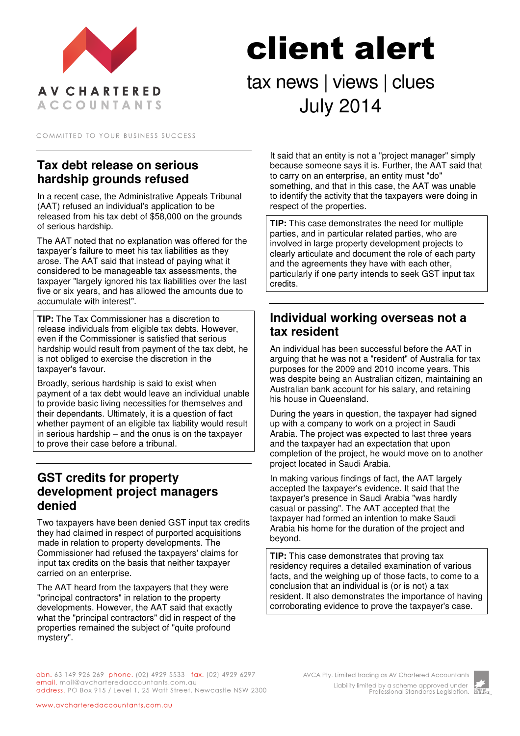

# client alert tax news | views | clues July 2014

COMMITTED TO YOUR BUSINESS SUCCESS

# **Tax debt release on serious hardship grounds refused**

In a recent case, the Administrative Appeals Tribunal (AAT) refused an individual's application to be released from his tax debt of \$58,000 on the grounds of serious hardship.

The AAT noted that no explanation was offered for the taxpayer's failure to meet his tax liabilities as they arose. The AAT said that instead of paying what it considered to be manageable tax assessments, the taxpayer "largely ignored his tax liabilities over the last five or six years, and has allowed the amounts due to accumulate with interest".

**TIP:** The Tax Commissioner has a discretion to release individuals from eligible tax debts. However, even if the Commissioner is satisfied that serious hardship would result from payment of the tax debt, he is not obliged to exercise the discretion in the taxpayer's favour.

Broadly, serious hardship is said to exist when payment of a tax debt would leave an individual unable to provide basic living necessities for themselves and their dependants. Ultimately, it is a question of fact whether payment of an eligible tax liability would result in serious hardship – and the onus is on the taxpayer to prove their case before a tribunal.

# **GST credits for property development project managers denied**

Two taxpayers have been denied GST input tax credits they had claimed in respect of purported acquisitions made in relation to property developments. The Commissioner had refused the taxpayers' claims for input tax credits on the basis that neither taxpayer carried on an enterprise.

The AAT heard from the taxpayers that they were "principal contractors" in relation to the property developments. However, the AAT said that exactly what the "principal contractors" did in respect of the properties remained the subject of "quite profound" mystery".

It said that an entity is not a "project manager" simply because someone says it is. Further, the AAT said that to carry on an enterprise, an entity must "do" something, and that in this case, the AAT was unable to identify the activity that the taxpayers were doing in respect of the properties.

**TIP:** This case demonstrates the need for multiple parties, and in particular related parties, who are involved in large property development projects to clearly articulate and document the role of each party and the agreements they have with each other, particularly if one party intends to seek GST input tax credits.

## **Individual working overseas not a tax resident**

An individual has been successful before the AAT in arguing that he was not a "resident" of Australia for tax purposes for the 2009 and 2010 income years. This was despite being an Australian citizen, maintaining an Australian bank account for his salary, and retaining his house in Queensland.

During the years in question, the taxpayer had signed up with a company to work on a project in Saudi Arabia. The project was expected to last three years and the taxpayer had an expectation that upon completion of the project, he would move on to another project located in Saudi Arabia.

In making various findings of fact, the AAT largely accepted the taxpayer's evidence. It said that the taxpayer's presence in Saudi Arabia "was hardly casual or passing". The AAT accepted that the taxpayer had formed an intention to make Saudi Arabia his home for the duration of the project and beyond.

**TIP:** This case demonstrates that proving tax residency requires a detailed examination of various facts, and the weighing up of those facts, to come to a conclusion that an individual is (or is not) a tax resident. It also demonstrates the importance of having corroborating evidence to prove the taxpayer's case.

abn. 63 149 926 269 phone. (02) 4929 5533 fax. (02) 4929 6297 email. mail@avcharteredaccountants.com.au address. PO Box 915 / Level 1, 25 Watt Street, Newcastle NSW 2300